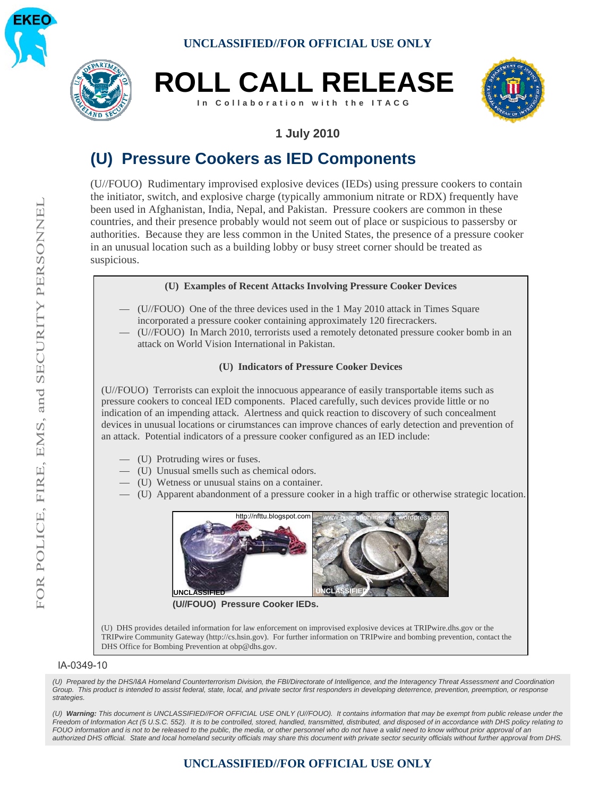





## **1 July 2010**

# **(U) Pressure Cookers as IED Components**

(U//FOUO) Rudimentary improvised explosive devices (IEDs) using pressure cookers to contain the initiator, switch, and explosive charge (typically ammonium nitrate or RDX) frequently have been used in Afghanistan, India, Nepal, and Pakistan. Pressure cookers are common in these countries, and their presence probably would not seem out of place or suspicious to passersby or authorities. Because they are less common in the United States, the presence of a pressure cooker in an unusual location such as a building lobby or busy street corner should be treated as suspicious.

#### **(U) Examples of Recent Attacks Involving Pressure Cooker Devices**

- (U//FOUO) One of the three devices used in the 1 May 2010 attack in Times Square incorporated a pressure cooker containing approximately 120 firecrackers.
- (U//FOUO) In March 2010, terrorists used a remotely detonated pressure cooker bomb in an attack on World Vision International in Pakistan.

#### **(U) Indicators of Pressure Cooker Devices**

(U//FOUO) Terrorists can exploit the innocuous appearance of easily transportable items such as pressure cookers to conceal IED components. Placed carefully, such devices provide little or no indication of an impending attack. Alertness and quick reaction to discovery of such concealment devices in unusual locations or cirumstances can improve chances of early detection and prevention of an attack. Potential indicators of a pressure cooker configured as an IED include:

- (U) Protruding wires or fuses.
- (U) Unusual smells such as chemical odors.
- (U) Wetness or unusual stains on a container.
- (U) Apparent abandonment of a pressure cooker in a high traffic or otherwise strategic location.



**(U//FOUO) Pressure Cooker IEDs.**

(U) DHS provides detailed information for law enforcement on improvised explosive devices at TRIPwire.dhs.gov or the TRIPwire Community Gateway (http://cs.hsin.gov). For further information on TRIPwire and bombing prevention, contact the DHS Office for Bombing Prevention at obp@dhs.gov.

#### IA-0349-10

*(U) Prepared by the DHS/I&A Homeland Counterterrorism Division, the FBI/Directorate of Intelligence, and the Interagency Threat Assessment and Coordination Group. This product is intended to assist federal, state, local, and private sector first responders in developing deterrence, prevention, preemption, or response strategies.*

*(U) Warning: This document is UNCLASSIFIED//FOR OFFICIAL USE ONLY (U//FOUO). It contains information that may be exempt from public release under the Freedom of Information Act (5 U.S.C. 552). It is to be controlled, stored, handled, transmitted, distributed, and disposed of in accordance with DHS policy relating to FOUO information and is not to be released to the public, the media, or other personnel who do not have a valid need to know without prior approval of an authorized DHS official. State and local homeland security officials may share this document with private sector security officials without further approval from DHS.*

### **UNCLASSIFIED//FOR OFFICIAL USE ONLY**